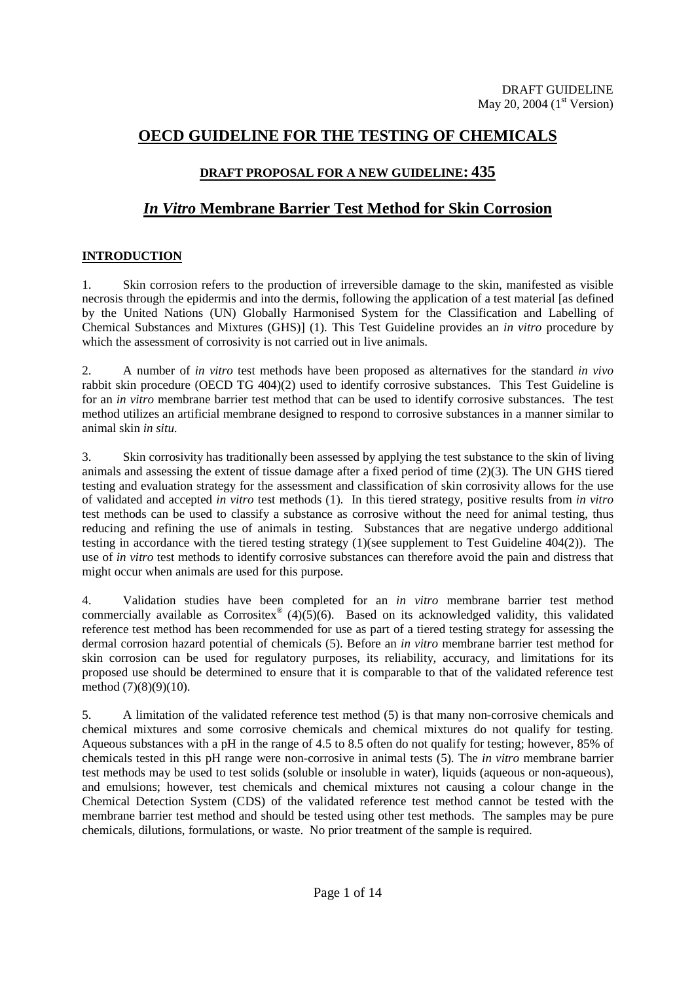# **OECD GUIDELINE FOR THE TESTING OF CHEMICALS**

# **DRAFT PROPOSAL FOR A NEW GUIDELINE: 435**

# *In Vitro* **Membrane Barrier Test Method for Skin Corrosion**

# **INTRODUCTION**

1. Skin corrosion refers to the production of irreversible damage to the skin, manifested as visible necrosis through the epidermis and into the dermis, following the application of a test material [as defined by the United Nations (UN) Globally Harmonised System for the Classification and Labelling of Chemical Substances and Mixtures (GHS)] (1). This Test Guideline provides an *in vitro* procedure by which the assessment of corrosivity is not carried out in live animals.

2. A number of *in vitro* test methods have been proposed as alternatives for the standard *in vivo* rabbit skin procedure (OECD TG 404)(2) used to identify corrosive substances. This Test Guideline is for an *in vitro* membrane barrier test method that can be used to identify corrosive substances. The test method utilizes an artificial membrane designed to respond to corrosive substances in a manner similar to animal skin *in situ*.

3. Skin corrosivity has traditionally been assessed by applying the test substance to the skin of living animals and assessing the extent of tissue damage after a fixed period of time (2)(3). The UN GHS tiered testing and evaluation strategy for the assessment and classification of skin corrosivity allows for the use of validated and accepted *in vitro* test methods (1). In this tiered strategy, positive results from *in vitro* test methods can be used to classify a substance as corrosive without the need for animal testing, thus reducing and refining the use of animals in testing. Substances that are negative undergo additional testing in accordance with the tiered testing strategy (1)(see supplement to Test Guideline 404(2)). The use of *in vitro* test methods to identify corrosive substances can therefore avoid the pain and distress that might occur when animals are used for this purpose.

4. Validation studies have been completed for an *in vitro* membrane barrier test method commercially available as  $Corrositex^{\circ}$  (4)(5)(6). Based on its acknowledged validity, this validated reference test method has been recommended for use as part of a tiered testing strategy for assessing the dermal corrosion hazard potential of chemicals (5). Before an *in vitro* membrane barrier test method for skin corrosion can be used for regulatory purposes, its reliability, accuracy, and limitations for its proposed use should be determined to ensure that it is comparable to that of the validated reference test method (7)(8)(9)(10).

5. A limitation of the validated reference test method (5) is that many non-corrosive chemicals and chemical mixtures and some corrosive chemicals and chemical mixtures do not qualify for testing. Aqueous substances with a pH in the range of 4.5 to 8.5 often do not qualify for testing; however, 85% of chemicals tested in this pH range were non-corrosive in animal tests (5). The *in vitro* membrane barrier test methods may be used to test solids (soluble or insoluble in water), liquids (aqueous or non-aqueous), and emulsions; however, test chemicals and chemical mixtures not causing a colour change in the Chemical Detection System (CDS) of the validated reference test method cannot be tested with the membrane barrier test method and should be tested using other test methods. The samples may be pure chemicals, dilutions, formulations, or waste. No prior treatment of the sample is required.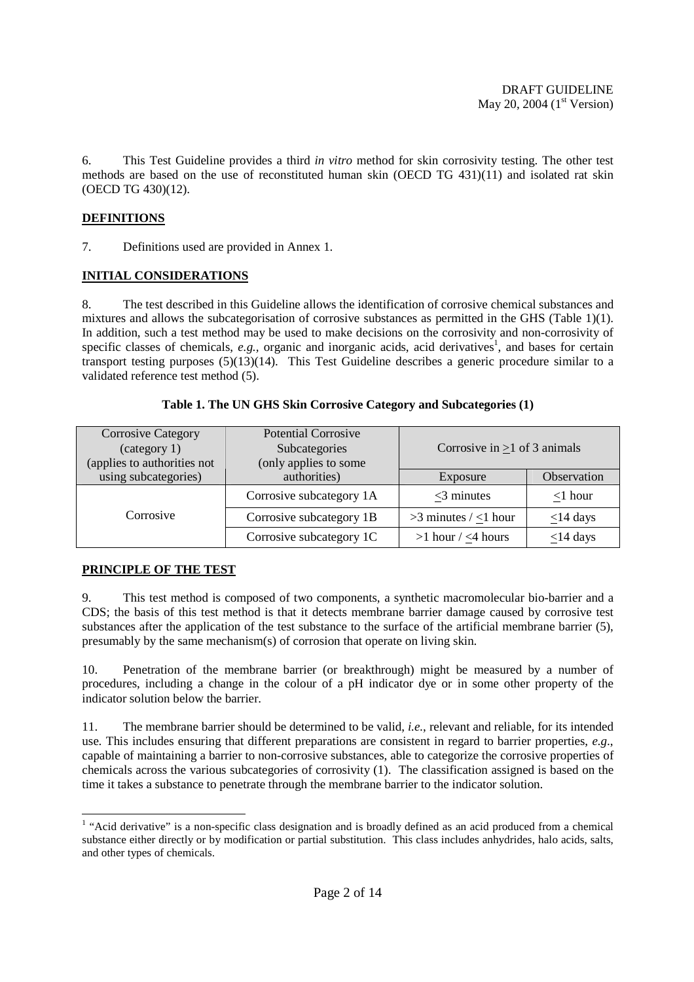6. This Test Guideline provides a third *in vitro* method for skin corrosivity testing. The other test methods are based on the use of reconstituted human skin (OECD TG 431)(11) and isolated rat skin (OECD TG 430)(12).

# **DEFINITIONS**

7. Definitions used are provided in Annex 1.

# **INITIAL CONSIDERATIONS**

8. The test described in this Guideline allows the identification of corrosive chemical substances and mixtures and allows the subcategorisation of corrosive substances as permitted in the GHS (Table 1)(1). In addition, such a test method may be used to make decisions on the corrosivity and non-corrosivity of specific classes of chemicals,  $e.g.,$  organic and inorganic acids, acid derivatives<sup>1</sup>, and bases for certain transport testing purposes (5)(13)(14). This Test Guideline describes a generic procedure similar to a validated reference test method (5).

| <b>Corrosive Category</b><br>(category 1)<br>(applies to authorities not | <b>Potential Corrosive</b><br>Subcategories<br>(only applies to some | Corrosive in $\geq 1$ of 3 animals |                |  |
|--------------------------------------------------------------------------|----------------------------------------------------------------------|------------------------------------|----------------|--|
| using subcategories)                                                     | authorities)                                                         | Exposure                           | Observation    |  |
| Corrosive                                                                | Corrosive subcategory 1A                                             | $<$ 3 minutes                      | $<$ 1 hour     |  |
|                                                                          | Corrosive subcategory 1B                                             | $>3$ minutes / <1 hour             | $\leq$ 14 days |  |
|                                                                          | Corrosive subcategory 1C                                             | $>1$ hour / <4 hours               | $\leq$ 14 days |  |

## **Table 1. The UN GHS Skin Corrosive Category and Subcategories (1)**

# **PRINCIPLE OF THE TEST**

9. This test method is composed of two components, a synthetic macromolecular bio-barrier and a CDS; the basis of this test method is that it detects membrane barrier damage caused by corrosive test substances after the application of the test substance to the surface of the artificial membrane barrier (5), presumably by the same mechanism(s) of corrosion that operate on living skin.

10. Penetration of the membrane barrier (or breakthrough) might be measured by a number of procedures, including a change in the colour of a pH indicator dye or in some other property of the indicator solution below the barrier.

11. The membrane barrier should be determined to be valid, *i.e.*, relevant and reliable, for its intended use. This includes ensuring that different preparations are consistent in regard to barrier properties, *e.g*., capable of maintaining a barrier to non-corrosive substances, able to categorize the corrosive properties of chemicals across the various subcategories of corrosivity (1). The classification assigned is based on the time it takes a substance to penetrate through the membrane barrier to the indicator solution.

 1 "Acid derivative" is a non-specific class designation and is broadly defined as an acid produced from a chemical substance either directly or by modification or partial substitution. This class includes anhydrides, halo acids, salts, and other types of chemicals.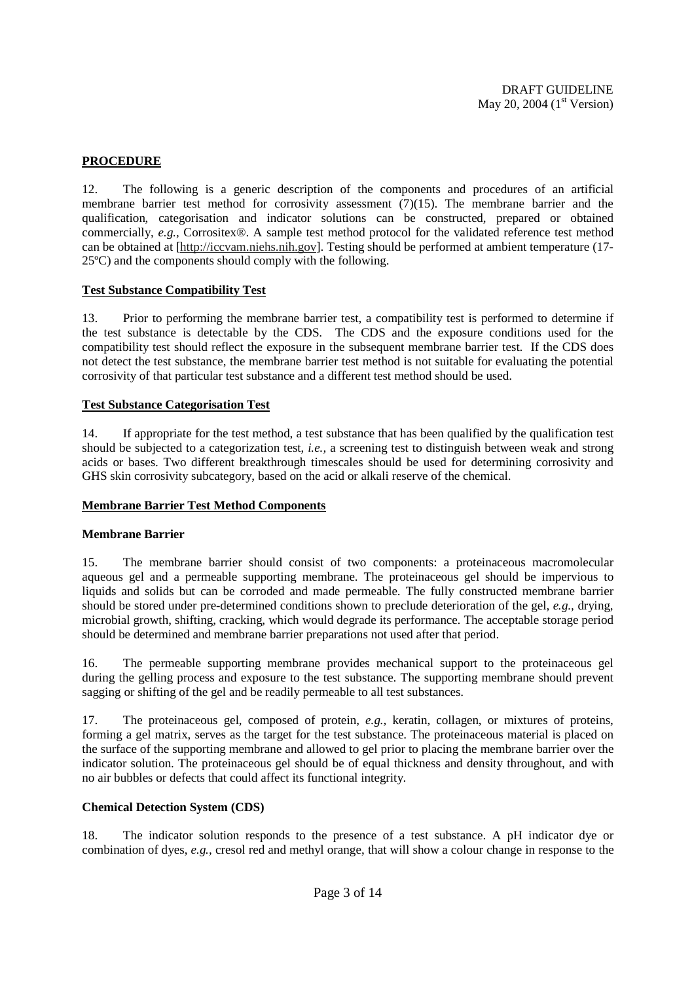# **PROCEDURE**

12. The following is a generic description of the components and procedures of an artificial membrane barrier test method for corrosivity assessment (7)(15). The membrane barrier and the qualification, categorisation and indicator solutions can be constructed, prepared or obtained commercially, *e.g.,* Corrositex®. A sample test method protocol for the validated reference test method can be obtained at [http://iccvam.niehs.nih.gov]. Testing should be performed at ambient temperature (17- 25ºC) and the components should comply with the following.

#### **Test Substance Compatibility Test**

13. Prior to performing the membrane barrier test, a compatibility test is performed to determine if the test substance is detectable by the CDS. The CDS and the exposure conditions used for the compatibility test should reflect the exposure in the subsequent membrane barrier test. If the CDS does not detect the test substance, the membrane barrier test method is not suitable for evaluating the potential corrosivity of that particular test substance and a different test method should be used.

#### **Test Substance Categorisation Test**

14. If appropriate for the test method, a test substance that has been qualified by the qualification test should be subjected to a categorization test, *i.e.,* a screening test to distinguish between weak and strong acids or bases. Two different breakthrough timescales should be used for determining corrosivity and GHS skin corrosivity subcategory, based on the acid or alkali reserve of the chemical.

#### **Membrane Barrier Test Method Components**

#### **Membrane Barrier**

15. The membrane barrier should consist of two components: a proteinaceous macromolecular aqueous gel and a permeable supporting membrane. The proteinaceous gel should be impervious to liquids and solids but can be corroded and made permeable. The fully constructed membrane barrier should be stored under pre-determined conditions shown to preclude deterioration of the gel, *e.g.,* drying, microbial growth, shifting, cracking, which would degrade its performance. The acceptable storage period should be determined and membrane barrier preparations not used after that period.

16. The permeable supporting membrane provides mechanical support to the proteinaceous gel during the gelling process and exposure to the test substance. The supporting membrane should prevent sagging or shifting of the gel and be readily permeable to all test substances.

17. The proteinaceous gel, composed of protein, *e.g.,* keratin, collagen, or mixtures of proteins, forming a gel matrix, serves as the target for the test substance. The proteinaceous material is placed on the surface of the supporting membrane and allowed to gel prior to placing the membrane barrier over the indicator solution. The proteinaceous gel should be of equal thickness and density throughout, and with no air bubbles or defects that could affect its functional integrity.

#### **Chemical Detection System (CDS)**

18. The indicator solution responds to the presence of a test substance. A pH indicator dye or combination of dyes, *e.g.,* cresol red and methyl orange, that will show a colour change in response to the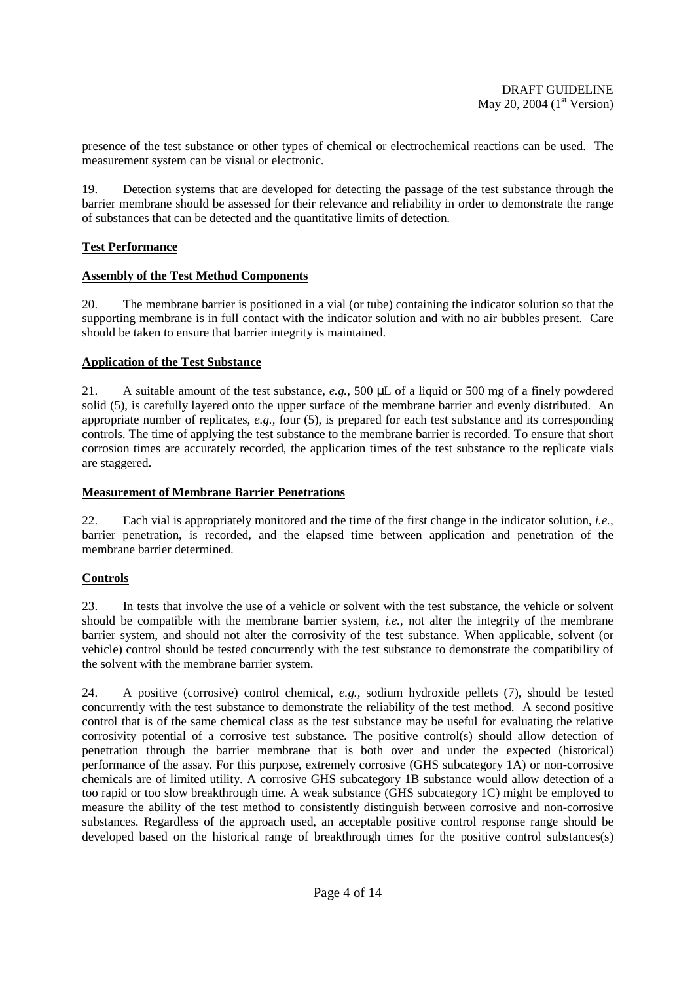presence of the test substance or other types of chemical or electrochemical reactions can be used. The measurement system can be visual or electronic.

19. Detection systems that are developed for detecting the passage of the test substance through the barrier membrane should be assessed for their relevance and reliability in order to demonstrate the range of substances that can be detected and the quantitative limits of detection.

## **Test Performance**

## **Assembly of the Test Method Components**

20. The membrane barrier is positioned in a vial (or tube) containing the indicator solution so that the supporting membrane is in full contact with the indicator solution and with no air bubbles present. Care should be taken to ensure that barrier integrity is maintained.

## **Application of the Test Substance**

21. A suitable amount of the test substance, *e.g.,* 500 µL of a liquid or 500 mg of a finely powdered solid (5), is carefully layered onto the upper surface of the membrane barrier and evenly distributed. An appropriate number of replicates, *e.g.,* four (5), is prepared for each test substance and its corresponding controls. The time of applying the test substance to the membrane barrier is recorded. To ensure that short corrosion times are accurately recorded, the application times of the test substance to the replicate vials are staggered.

#### **Measurement of Membrane Barrier Penetrations**

22. Each vial is appropriately monitored and the time of the first change in the indicator solution, *i.e.,*  barrier penetration, is recorded, and the elapsed time between application and penetration of the membrane barrier determined.

# **Controls**

23. In tests that involve the use of a vehicle or solvent with the test substance, the vehicle or solvent should be compatible with the membrane barrier system, *i.e.,* not alter the integrity of the membrane barrier system, and should not alter the corrosivity of the test substance. When applicable, solvent (or vehicle) control should be tested concurrently with the test substance to demonstrate the compatibility of the solvent with the membrane barrier system.

24. A positive (corrosive) control chemical, *e.g.,* sodium hydroxide pellets (7), should be tested concurrently with the test substance to demonstrate the reliability of the test method. A second positive control that is of the same chemical class as the test substance may be useful for evaluating the relative corrosivity potential of a corrosive test substance. The positive control(s) should allow detection of penetration through the barrier membrane that is both over and under the expected (historical) performance of the assay. For this purpose, extremely corrosive (GHS subcategory 1A) or non-corrosive chemicals are of limited utility. A corrosive GHS subcategory 1B substance would allow detection of a too rapid or too slow breakthrough time. A weak substance (GHS subcategory 1C) might be employed to measure the ability of the test method to consistently distinguish between corrosive and non-corrosive substances. Regardless of the approach used, an acceptable positive control response range should be developed based on the historical range of breakthrough times for the positive control substances(s)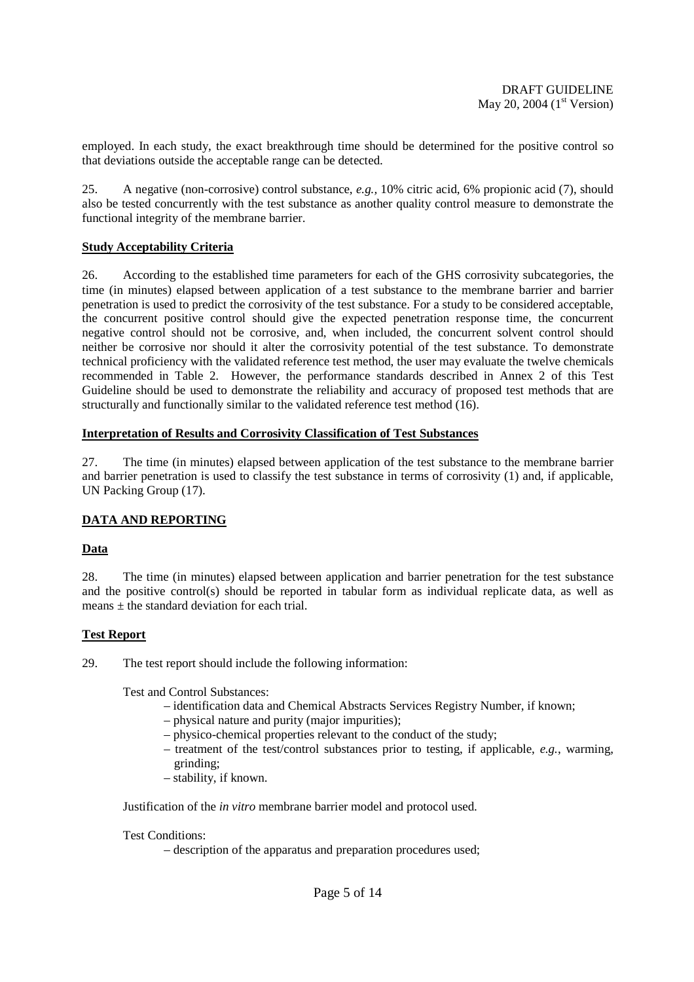employed. In each study, the exact breakthrough time should be determined for the positive control so that deviations outside the acceptable range can be detected.

25. A negative (non-corrosive) control substance, *e.g.,* 10% citric acid, 6% propionic acid (7), should also be tested concurrently with the test substance as another quality control measure to demonstrate the functional integrity of the membrane barrier.

#### **Study Acceptability Criteria**

26. According to the established time parameters for each of the GHS corrosivity subcategories, the time (in minutes) elapsed between application of a test substance to the membrane barrier and barrier penetration is used to predict the corrosivity of the test substance. For a study to be considered acceptable, the concurrent positive control should give the expected penetration response time, the concurrent negative control should not be corrosive, and, when included, the concurrent solvent control should neither be corrosive nor should it alter the corrosivity potential of the test substance. To demonstrate technical proficiency with the validated reference test method, the user may evaluate the twelve chemicals recommended in Table 2. However, the performance standards described in Annex 2 of this Test Guideline should be used to demonstrate the reliability and accuracy of proposed test methods that are structurally and functionally similar to the validated reference test method (16).

#### **Interpretation of Results and Corrosivity Classification of Test Substances**

27. The time (in minutes) elapsed between application of the test substance to the membrane barrier and barrier penetration is used to classify the test substance in terms of corrosivity (1) and, if applicable, UN Packing Group (17).

# **DATA AND REPORTING**

#### **Data**

28. The time (in minutes) elapsed between application and barrier penetration for the test substance and the positive control(s) should be reported in tabular form as individual replicate data, as well as means  $\pm$  the standard deviation for each trial.

#### **Test Report**

29. The test report should include the following information:

Test and Control Substances:

- identification data and Chemical Abstracts Services Registry Number, if known;
- physical nature and purity (major impurities);
- physico-chemical properties relevant to the conduct of the study;
- treatment of the test/control substances prior to testing, if applicable, *e.g.*, warming, grinding;
- stability, if known.

Justification of the *in vitro* membrane barrier model and protocol used.

Test Conditions:

– description of the apparatus and preparation procedures used;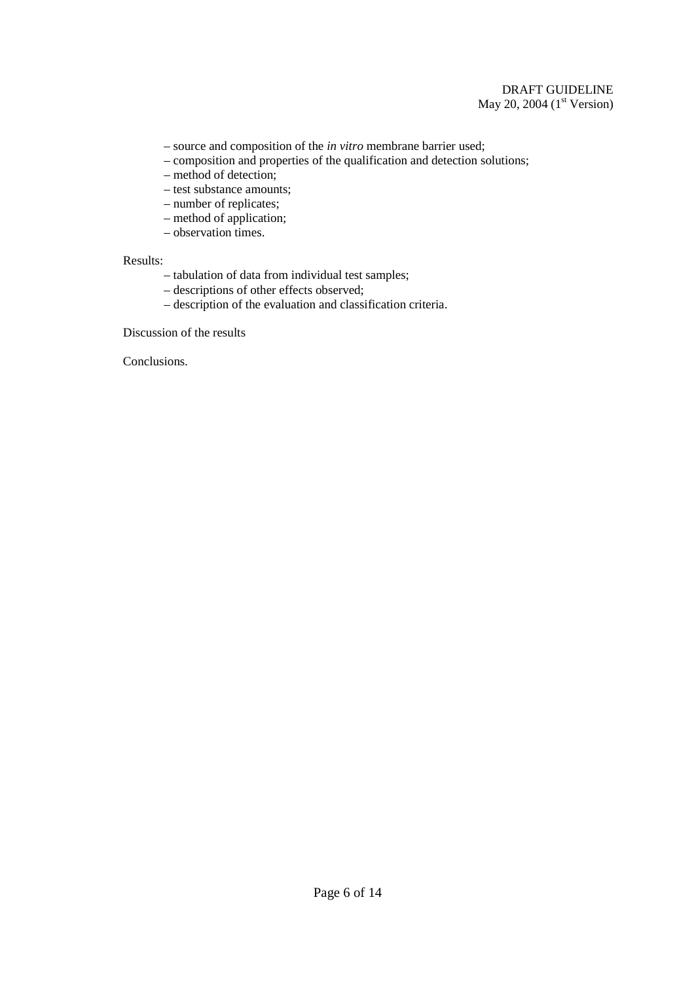# DRAFT GUIDELINE May 20, 2004  $(1<sup>st</sup> Version)$

- source and composition of the *in vitro* membrane barrier used;
- composition and properties of the qualification and detection solutions;
- method of detection;
- test substance amounts;
- number of replicates;
- method of application;
- observation times.

#### Results:

- tabulation of data from individual test samples;
- descriptions of other effects observed;
- description of the evaluation and classification criteria.

Discussion of the results

Conclusions.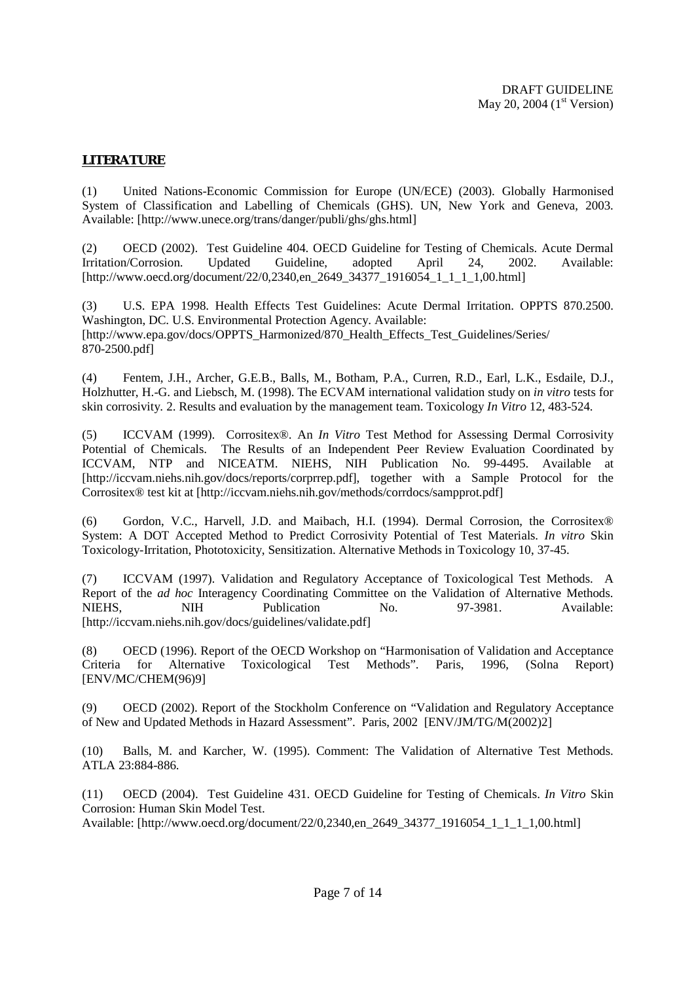# **LITERATURE**

(1) United Nations-Economic Commission for Europe (UN/ECE) (2003). Globally Harmonised System of Classification and Labelling of Chemicals (GHS). UN, New York and Geneva, 2003. Available: [http://www.unece.org/trans/danger/publi/ghs/ghs.html]

(2) OECD (2002). Test Guideline 404. OECD Guideline for Testing of Chemicals. Acute Dermal Irritation/Corrosion. Updated Guideline, adopted April 24, 2002. Available: [http://www.oecd.org/document/22/0,2340,en\_2649\_34377\_1916054\_1\_1\_1\_1,00.html]

(3) U.S. EPA 1998. Health Effects Test Guidelines: Acute Dermal Irritation. OPPTS 870.2500. Washington, DC. U.S. Environmental Protection Agency. Available: [http://www.epa.gov/docs/OPPTS\_Harmonized/870\_Health\_Effects\_Test\_Guidelines/Series/ 870-2500.pdf]

(4) Fentem, J.H., Archer, G.E.B., Balls, M., Botham, P.A., Curren, R.D., Earl, L.K., Esdaile, D.J., Holzhutter, H.-G. and Liebsch, M. (1998). The ECVAM international validation study on *in vitro* tests for skin corrosivity. 2. Results and evaluation by the management team. Toxicology *In Vitro* 12, 483-524.

(5) ICCVAM (1999). Corrositex®. An *In Vitro* Test Method for Assessing Dermal Corrosivity Potential of Chemicals. The Results of an Independent Peer Review Evaluation Coordinated by ICCVAM, NTP and NICEATM. NIEHS, NIH Publication No. 99-4495. Available at [http://iccvam.niehs.nih.gov/docs/reports/corprrep.pdf], together with a Sample Protocol for the Corrositex® test kit at [http://iccvam.niehs.nih.gov/methods/corrdocs/sampprot.pdf]

(6) Gordon, V.C., Harvell, J.D. and Maibach, H.I. (1994). Dermal Corrosion, the Corrositex® System: A DOT Accepted Method to Predict Corrosivity Potential of Test Materials. *In vitro* Skin Toxicology-Irritation, Phototoxicity, Sensitization. Alternative Methods in Toxicology 10, 37-45.

(7) ICCVAM (1997). Validation and Regulatory Acceptance of Toxicological Test Methods. A Report of the *ad hoc* Interagency Coordinating Committee on the Validation of Alternative Methods.<br>NIEHS. NIH Publication No. 97-3981. Available: NIEHS, NIH Publication No. 97-3981. Available: [http://iccvam.niehs.nih.gov/docs/guidelines/validate.pdf]

(8) OECD (1996). Report of the OECD Workshop on "Harmonisation of Validation and Acceptance Criteria for Alternative Toxicological Test Methods". Paris, 1996, (Solna Report) [ENV/MC/CHEM(96)9]

(9) OECD (2002). Report of the Stockholm Conference on "Validation and Regulatory Acceptance of New and Updated Methods in Hazard Assessment". Paris, 2002 [ENV/JM/TG/M(2002)2]

(10) Balls, M. and Karcher, W. (1995). Comment: The Validation of Alternative Test Methods. ATLA 23:884-886.

(11) OECD (2004). Test Guideline 431. OECD Guideline for Testing of Chemicals. *In Vitro* Skin Corrosion: Human Skin Model Test.

Available: [http://www.oecd.org/document/22/0,2340,en\_2649\_34377\_1916054\_1\_1\_1\_1,00.html]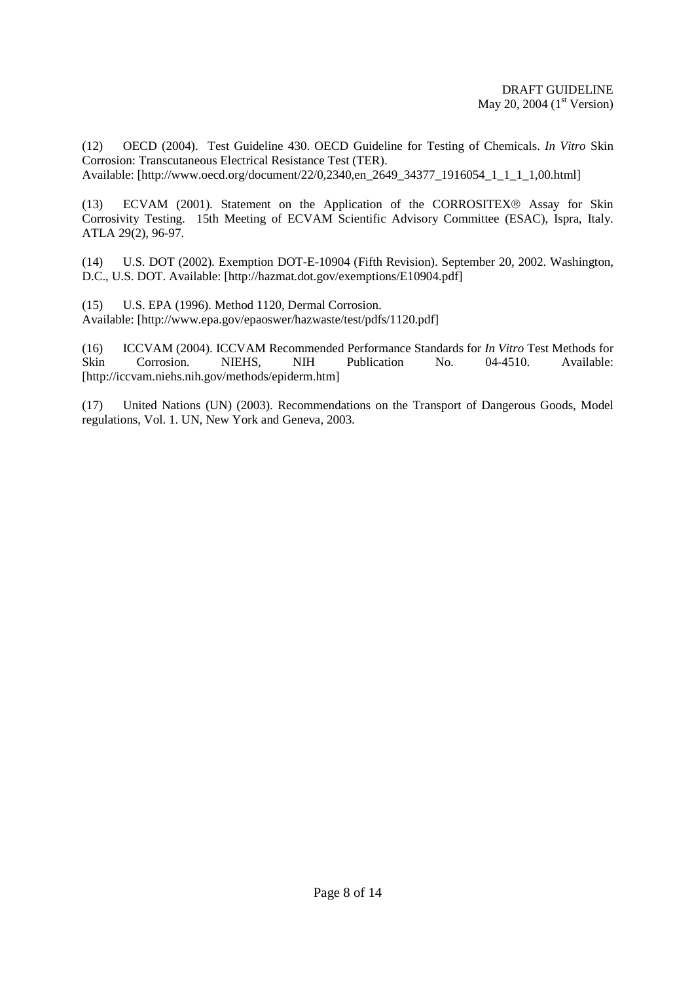(12) OECD (2004). Test Guideline 430. OECD Guideline for Testing of Chemicals. *In Vitro* Skin Corrosion: Transcutaneous Electrical Resistance Test (TER). Available: [http://www.oecd.org/document/22/0,2340,en\_2649\_34377\_1916054\_1\_1\_1\_1,00.html]

(13) ECVAM (2001). Statement on the Application of the CORROSITEX® Assay for Skin Corrosivity Testing. 15th Meeting of ECVAM Scientific Advisory Committee (ESAC), Ispra, Italy. ATLA 29(2), 96-97.

(14) U.S. DOT (2002). Exemption DOT-E-10904 (Fifth Revision). September 20, 2002. Washington, D.C., U.S. DOT. Available: [http://hazmat.dot.gov/exemptions/E10904.pdf]

(15) U.S. EPA (1996). Method 1120, Dermal Corrosion. Available: [http://www.epa.gov/epaoswer/hazwaste/test/pdfs/1120.pdf]

(16) ICCVAM (2004). ICCVAM Recommended Performance Standards for *In Vitro* Test Methods for Skin Corrosion. NIEHS, NIH Publication No. 04-4510. Available: [http://iccvam.niehs.nih.gov/methods/epiderm.htm]

(17) United Nations (UN) (2003). Recommendations on the Transport of Dangerous Goods, Model regulations, Vol. 1. UN, New York and Geneva, 2003.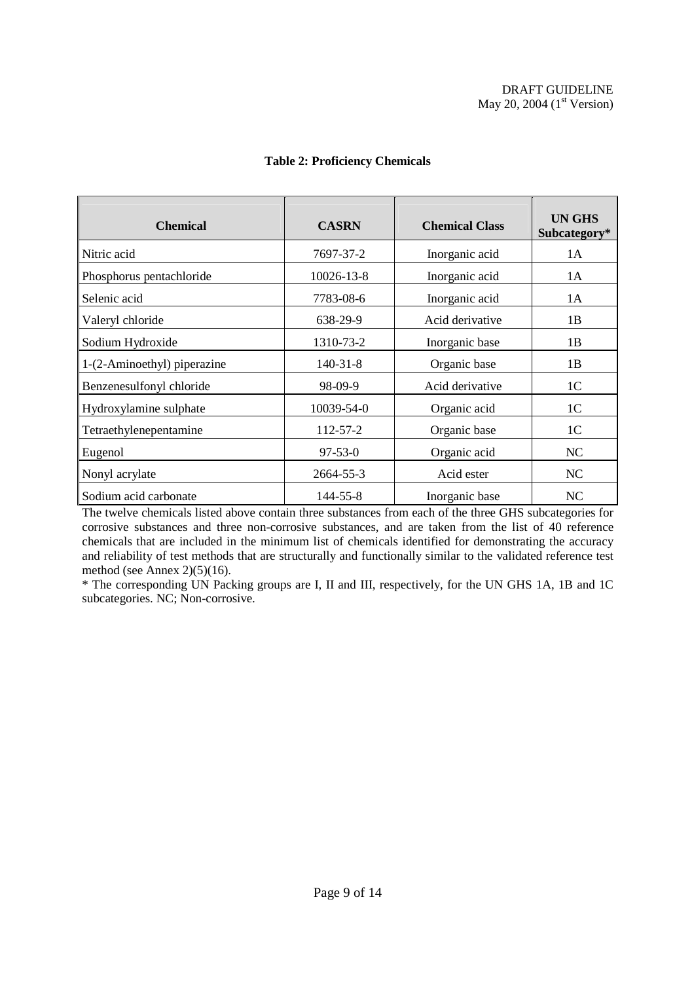| <b>Chemical</b>             | <b>CASRN</b>   | <b>Chemical Class</b> | UN GHS<br>Subcategory* |
|-----------------------------|----------------|-----------------------|------------------------|
| Nitric acid                 | 7697-37-2      | Inorganic acid        | 1A                     |
| Phosphorus pentachloride    | 10026-13-8     | Inorganic acid        | 1A                     |
| Selenic acid                | 7783-08-6      | Inorganic acid        | 1 A                    |
| Valeryl chloride            | 638-29-9       | Acid derivative       | 1B                     |
| Sodium Hydroxide            | 1310-73-2      | Inorganic base        | 1B                     |
| 1-(2-Aminoethyl) piperazine | $140 - 31 - 8$ | Organic base          | 1B                     |
| Benzenesulfonyl chloride    | 98-09-9        | Acid derivative       | 1 <sup>C</sup>         |
| Hydroxylamine sulphate      | 10039-54-0     | Organic acid          | 1 <sup>C</sup>         |
| Tetraethylenepentamine      | 112-57-2       | Organic base          | 1 <sup>C</sup>         |
| Eugenol                     | $97 - 53 - 0$  | Organic acid          | NC.                    |
| Nonyl acrylate              | 2664-55-3      | Acid ester            | NC                     |
| Sodium acid carbonate       | 144-55-8       | Inorganic base        | NC                     |

# **Table 2: Proficiency Chemicals**

The twelve chemicals listed above contain three substances from each of the three GHS subcategories for corrosive substances and three non-corrosive substances, and are taken from the list of 40 reference chemicals that are included in the minimum list of chemicals identified for demonstrating the accuracy and reliability of test methods that are structurally and functionally similar to the validated reference test method (see Annex 2)(5)(16).

\* The corresponding UN Packing groups are I, II and III, respectively, for the UN GHS 1A, 1B and 1C subcategories. NC; Non-corrosive.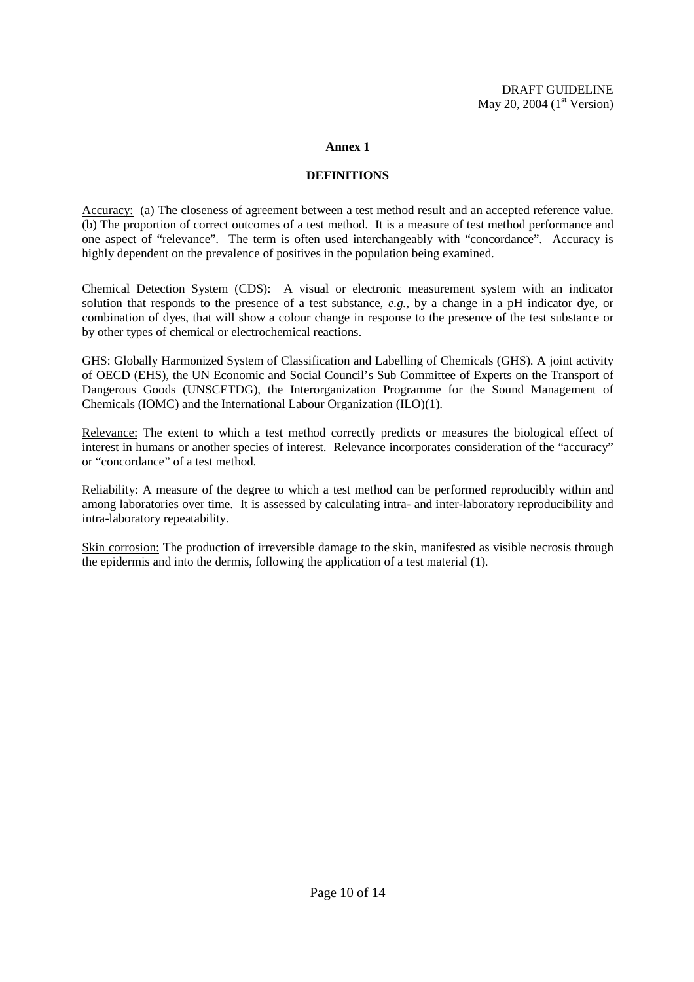#### **Annex 1**

#### **DEFINITIONS**

Accuracy: (a) The closeness of agreement between a test method result and an accepted reference value. (b) The proportion of correct outcomes of a test method. It is a measure of test method performance and one aspect of "relevance". The term is often used interchangeably with "concordance". Accuracy is highly dependent on the prevalence of positives in the population being examined.

Chemical Detection System (CDS): A visual or electronic measurement system with an indicator solution that responds to the presence of a test substance, *e.g.,* by a change in a pH indicator dye, or combination of dyes, that will show a colour change in response to the presence of the test substance or by other types of chemical or electrochemical reactions.

GHS: Globally Harmonized System of Classification and Labelling of Chemicals (GHS). A joint activity of OECD (EHS), the UN Economic and Social Council's Sub Committee of Experts on the Transport of Dangerous Goods (UNSCETDG), the Interorganization Programme for the Sound Management of Chemicals (IOMC) and the International Labour Organization (ILO)(1).

Relevance: The extent to which a test method correctly predicts or measures the biological effect of interest in humans or another species of interest. Relevance incorporates consideration of the "accuracy" or "concordance" of a test method.

Reliability: A measure of the degree to which a test method can be performed reproducibly within and among laboratories over time. It is assessed by calculating intra- and inter-laboratory reproducibility and intra-laboratory repeatability.

Skin corrosion: The production of irreversible damage to the skin, manifested as visible necrosis through the epidermis and into the dermis, following the application of a test material (1).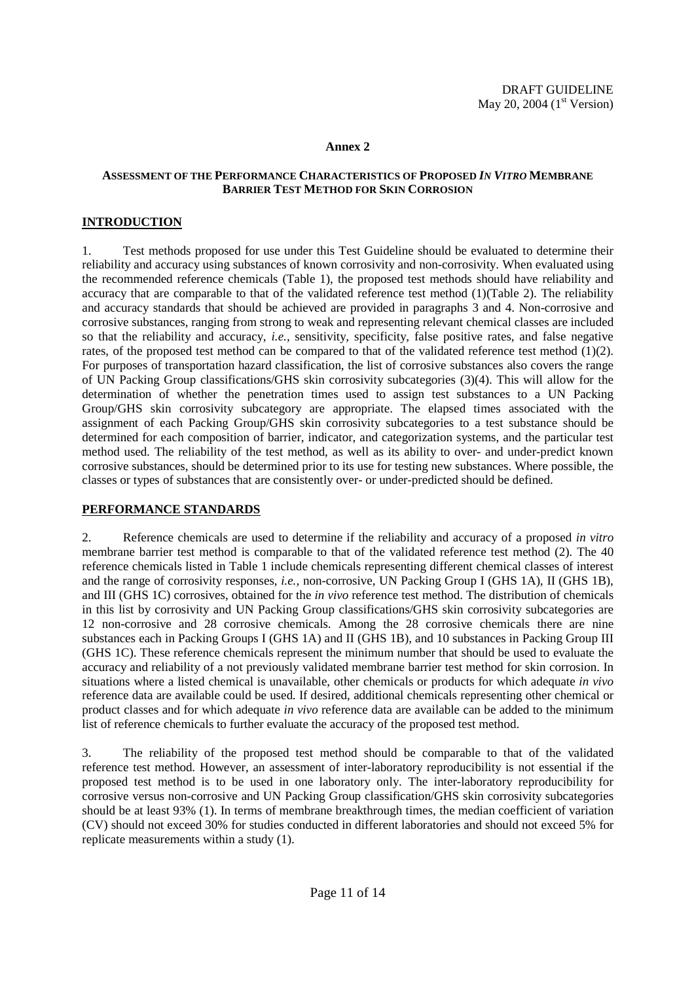#### **Annex 2**

## **ASSESSMENT OF THE PERFORMANCE CHARACTERISTICS OF PROPOSED** *IN VITRO* **MEMBRANE BARRIER TEST METHOD FOR SKIN CORROSION**

# **INTRODUCTION**

1. Test methods proposed for use under this Test Guideline should be evaluated to determine their reliability and accuracy using substances of known corrosivity and non-corrosivity. When evaluated using the recommended reference chemicals (Table 1), the proposed test methods should have reliability and accuracy that are comparable to that of the validated reference test method (1)(Table 2). The reliability and accuracy standards that should be achieved are provided in paragraphs 3 and 4. Non-corrosive and corrosive substances, ranging from strong to weak and representing relevant chemical classes are included so that the reliability and accuracy, *i.e.,* sensitivity, specificity, false positive rates, and false negative rates, of the proposed test method can be compared to that of the validated reference test method (1)(2). For purposes of transportation hazard classification, the list of corrosive substances also covers the range of UN Packing Group classifications/GHS skin corrosivity subcategories (3)(4). This will allow for the determination of whether the penetration times used to assign test substances to a UN Packing Group/GHS skin corrosivity subcategory are appropriate. The elapsed times associated with the assignment of each Packing Group/GHS skin corrosivity subcategories to a test substance should be determined for each composition of barrier, indicator, and categorization systems, and the particular test method used. The reliability of the test method, as well as its ability to over- and under-predict known corrosive substances, should be determined prior to its use for testing new substances. Where possible, the classes or types of substances that are consistently over- or under-predicted should be defined.

# **PERFORMANCE STANDARDS**

2. Reference chemicals are used to determine if the reliability and accuracy of a proposed *in vitro*  membrane barrier test method is comparable to that of the validated reference test method (2). The 40 reference chemicals listed in Table 1 include chemicals representing different chemical classes of interest and the range of corrosivity responses, *i.e.,* non-corrosive, UN Packing Group I (GHS 1A), II (GHS 1B), and III (GHS 1C) corrosives, obtained for the *in vivo* reference test method. The distribution of chemicals in this list by corrosivity and UN Packing Group classifications/GHS skin corrosivity subcategories are 12 non-corrosive and 28 corrosive chemicals. Among the 28 corrosive chemicals there are nine substances each in Packing Groups I (GHS 1A) and II (GHS 1B), and 10 substances in Packing Group III (GHS 1C). These reference chemicals represent the minimum number that should be used to evaluate the accuracy and reliability of a not previously validated membrane barrier test method for skin corrosion. In situations where a listed chemical is unavailable, other chemicals or products for which adequate *in vivo*  reference data are available could be used. If desired, additional chemicals representing other chemical or product classes and for which adequate *in vivo* reference data are available can be added to the minimum list of reference chemicals to further evaluate the accuracy of the proposed test method.

3. The reliability of the proposed test method should be comparable to that of the validated reference test method. However, an assessment of inter-laboratory reproducibility is not essential if the proposed test method is to be used in one laboratory only. The inter-laboratory reproducibility for corrosive versus non-corrosive and UN Packing Group classification/GHS skin corrosivity subcategories should be at least 93% (1). In terms of membrane breakthrough times, the median coefficient of variation (CV) should not exceed 30% for studies conducted in different laboratories and should not exceed 5% for replicate measurements within a study (1).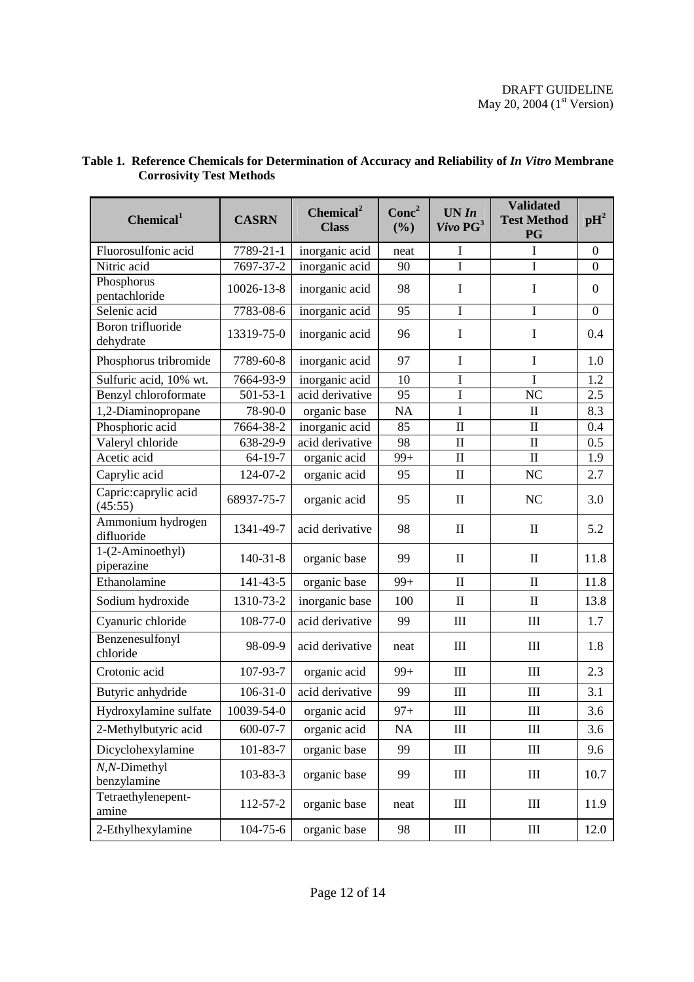# DRAFT GUIDELINE May 20, 2004  $(1<sup>st</sup> Version)$

| Chemical <sup>1</sup>           | <b>CASRN</b>   | Chemical <sup>2</sup><br><b>Class</b> | Conc <sup>2</sup><br>(%) | UN In<br>Vivo PG <sup>3</sup>   | <b>Validated</b><br><b>Test Method</b><br>PG | $\mathbf{p}$ H <sup>2</sup> |
|---------------------------------|----------------|---------------------------------------|--------------------------|---------------------------------|----------------------------------------------|-----------------------------|
| Fluorosulfonic acid             | 7789-21-1      | inorganic acid                        | neat                     | $\mathbf I$                     | I                                            | $\overline{0}$              |
| Nitric acid                     | 7697-37-2      | inorganic acid                        | 90                       | $\mathbf I$                     | $\mathbf I$                                  | $\overline{0}$              |
| Phosphorus<br>pentachloride     | 10026-13-8     | inorganic acid                        | 98                       | $\bf{I}$                        | $\mathbf I$                                  | $\overline{0}$              |
| Selenic acid                    | 7783-08-6      | inorganic acid                        | 95                       | $\bf I$                         | I                                            | $\boldsymbol{0}$            |
| Boron trifluoride<br>dehydrate  | 13319-75-0     | inorganic acid                        | 96                       | $\mathbf I$                     | $\mathbf I$                                  | 0.4                         |
| Phosphorus tribromide           | 7789-60-8      | inorganic acid                        | 97                       | $\bf{I}$                        | $\mathbf I$                                  | 1.0                         |
| Sulfuric acid, 10% wt.          | 7664-93-9      | inorganic acid                        | 10                       | I                               | T                                            | 1.2                         |
| Benzyl chloroformate            | $501 - 53 - 1$ | acid derivative                       | 95                       | $\overline{I}$                  | N <sub>C</sub>                               | 2.5                         |
| 1,2-Diaminopropane              | 78-90-0        | organic base                          | NA                       | $\mathbf I$                     | $\mathbf{I}$                                 | 8.3                         |
| Phosphoric acid                 | 7664-38-2      | inorganic acid                        | 85                       | $\mathbf{I}$                    | $\mathbf I$                                  | 0.4                         |
| Valeryl chloride                | 638-29-9       | acid derivative                       | 98                       | $\mathbf{I}$                    | $\mathbf{I}$                                 | 0.5                         |
| Acetic acid                     | 64-19-7        | organic acid                          | $99+$                    | $\mathbf{I}$                    | $\mathbf{I}$                                 | 1.9                         |
| Caprylic acid                   | 124-07-2       | organic acid                          | 95                       | $\mathbf{I}$                    | NC                                           | 2.7                         |
| Capric:caprylic acid<br>(45:55) | 68937-75-7     | organic acid                          | 95                       | $\mathop{\mathrm{II}}\nolimits$ | NC                                           | 3.0                         |
| Ammonium hydrogen<br>difluoride | 1341-49-7      | acid derivative                       | 98                       | $\mathbf{I}$                    | $\mathbf{I}$                                 | 5.2                         |
| 1-(2-Aminoethyl)<br>piperazine  | $140-31-8$     | organic base                          | 99                       | $\mathbf{I}$                    | $\mathbf{I}$                                 | 11.8                        |
| Ethanolamine                    | 141-43-5       | organic base                          | $99+$                    | $\mathbf{I}$                    | $\mathbf{I}$                                 | 11.8                        |
| Sodium hydroxide                | 1310-73-2      | inorganic base                        | 100                      | $\mathbf{I}$                    | $\mathbf{I}$                                 | 13.8                        |
| Cyanuric chloride               | $108 - 77 - 0$ | acid derivative                       | 99                       | III                             | III                                          | 1.7                         |
| Benzenesulfonyl<br>chloride     | 98-09-9        | acid derivative                       | neat                     | III                             | III                                          | 1.8                         |
| Crotonic acid                   | 107-93-7       | organic acid                          | $99+$                    | III                             | III                                          | 2.3                         |
| Butyric anhydride               | $106 - 31 - 0$ | acid derivative                       | 99                       | Ш                               | III                                          | 3.1                         |
| Hydroxylamine sulfate           | 10039-54-0     | organic acid                          | $97+$                    | III                             | III                                          | 3.6                         |
| 2-Methylbutyric acid            | 600-07-7       | organic acid                          | NA                       | $\mathop{\rm III}$              | $\rm III$                                    | 3.6                         |
| Dicyclohexylamine               | 101-83-7       | organic base                          | 99                       | III                             | III                                          | 9.6                         |
| $N, N$ -Dimethyl<br>benzylamine | 103-83-3       | organic base                          | 99                       | Ш                               | Ш                                            | 10.7                        |
| Tetraethylenepent-<br>amine     | 112-57-2       | organic base                          | neat                     | Ш                               | $\rm III$                                    | 11.9                        |
| 2-Ethylhexylamine               | $104 - 75 - 6$ | organic base                          | 98                       | Ш                               | $\mathop{\rm III}$                           | 12.0                        |

#### **Table 1. Reference Chemicals for Determination of Accuracy and Reliability of** *In Vitro* **Membrane Corrosivity Test Methods**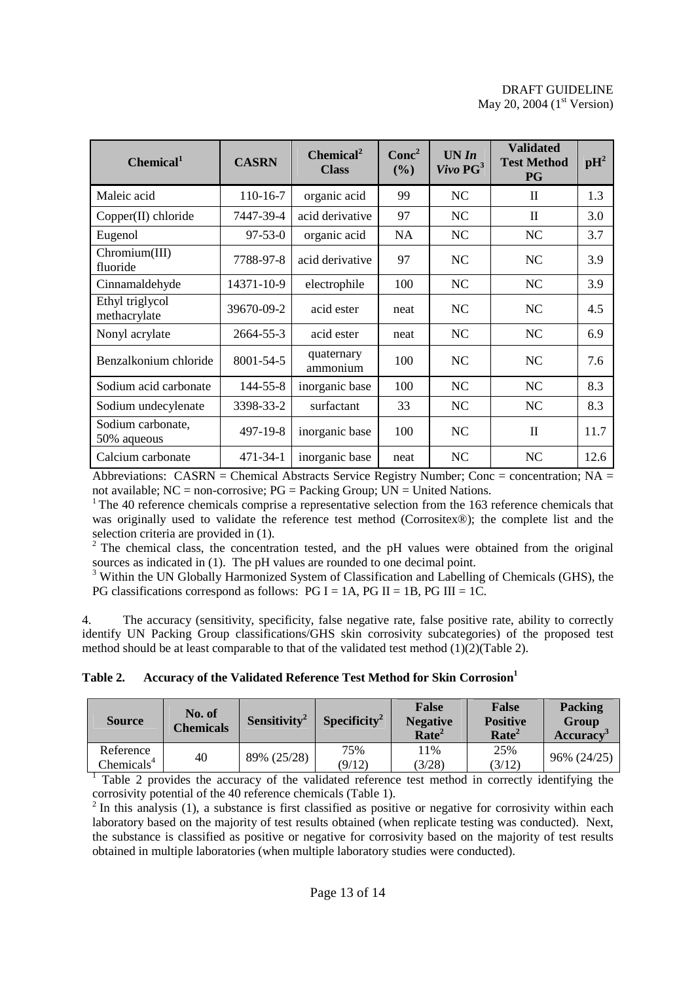# DRAFT GUIDELINE May 20, 2004  $(1<sup>st</sup> Version)$

| Chemical <sup>1</sup>            | <b>CASRN</b>  | Chemical <sup>2</sup><br><b>Class</b> | Conc <sup>2</sup><br>(%) | UN In<br>$Vivo\ PG^3$ | <b>Validated</b><br><b>Test Method</b><br><b>PG</b> | $\mathbf{p}$ H <sup>2</sup> |
|----------------------------------|---------------|---------------------------------------|--------------------------|-----------------------|-----------------------------------------------------|-----------------------------|
| Maleic acid                      | $110-16-7$    | organic acid                          | 99                       | NC                    | $\mathbf{I}$                                        | 1.3                         |
| Copper(II) chloride              | 7447-39-4     | acid derivative                       | 97                       | NC                    | $\mathbf{I}$                                        | 3.0                         |
| Eugenol                          | $97 - 53 - 0$ | organic acid                          | <b>NA</b>                | NC                    | NC                                                  | 3.7                         |
| Chromium(III)<br>fluoride        | 7788-97-8     | acid derivative                       | 97                       | NC.                   | NC.                                                 | 3.9                         |
| Cinnamaldehyde                   | 14371-10-9    | electrophile                          | 100                      | NC                    | NC                                                  | 3.9                         |
| Ethyl triglycol<br>methacrylate  | 39670-09-2    | acid ester                            | neat                     | NC                    | NC                                                  | 4.5                         |
| Nonyl acrylate                   | 2664-55-3     | acid ester                            | neat                     | NC.                   | NC.                                                 | 6.9                         |
| Benzalkonium chloride            | 8001-54-5     | quaternary<br>ammonium                | 100                      | NC                    | NC                                                  | 7.6                         |
| Sodium acid carbonate            | 144-55-8      | inorganic base                        | 100                      | NC                    | NC                                                  | 8.3                         |
| Sodium undecylenate              | 3398-33-2     | surfactant                            | 33                       | NC                    | NC                                                  | 8.3                         |
| Sodium carbonate,<br>50% aqueous | 497-19-8      | inorganic base                        | 100                      | NC.                   | $\mathbf{I}$                                        | 11.7                        |
| Calcium carbonate                | 471-34-1      | inorganic base                        | neat                     | NC                    | NC                                                  | 12.6                        |

Abbreviations: CASRN = Chemical Abstracts Service Registry Number; Conc = concentration;  $NA =$ not available;  $NC = non-corposite$ ;  $PG = Packing Group$ ;  $UN = United Nations$ .

 $1$ <sup>1</sup> The 40 reference chemicals comprise a representative selection from the 163 reference chemicals that was originally used to validate the reference test method (Corrositex®); the complete list and the selection criteria are provided in (1).

 $2$  The chemical class, the concentration tested, and the pH values were obtained from the original sources as indicated in (1). The pH values are rounded to one decimal point.

<sup>3</sup> Within the UN Globally Harmonized System of Classification and Labelling of Chemicals (GHS), the PG classifications correspond as follows:  $PG I = 1A$ ,  $PG II = 1B$ ,  $PG III = 1C$ .

4. The accuracy (sensitivity, specificity, false negative rate, false positive rate, ability to correctly identify UN Packing Group classifications/GHS skin corrosivity subcategories) of the proposed test method should be at least comparable to that of the validated test method (1)(2)(Table 2).

| Accuracy of the Validated Reference Test Method for Skin Corrosion<br>Table 2. |
|--------------------------------------------------------------------------------|
|--------------------------------------------------------------------------------|

| <b>Source</b>              | No. of<br><b>Chemicals</b> | Sensitivity <sup>2</sup> | Specificity <sup>2</sup> | <b>False</b><br><b>Negative</b><br>Rate <sup>2</sup> | <b>False</b><br><b>Positive</b><br>Rate <sup>2</sup> | <b>Packing</b><br>Group<br>Accuracy |
|----------------------------|----------------------------|--------------------------|--------------------------|------------------------------------------------------|------------------------------------------------------|-------------------------------------|
| Reference<br>Chemicals $4$ | 40                         | 89% (25/28)              | 75%<br>(9/12)            | 11%<br>(3/28)                                        | 25%<br>(3/12)                                        | 96% (24/25)                         |

<sup>1</sup> Table 2 provides the accuracy of the validated reference test method in correctly identifying the corrosivity potential of the 40 reference chemicals (Table 1).

 $2$  In this analysis (1), a substance is first classified as positive or negative for corrosivity within each laboratory based on the majority of test results obtained (when replicate testing was conducted). Next, the substance is classified as positive or negative for corrosivity based on the majority of test results obtained in multiple laboratories (when multiple laboratory studies were conducted).